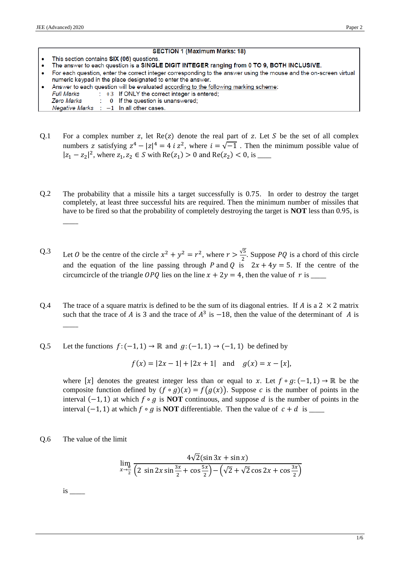#### **SECTION 1 (Maximum Marks: 18)**

- This section contains SIX (06) questions.
- The answer to each question is a SINGLE DIGIT INTEGER ranging from 0 TO 9, BOTH INCLUSIVE.  $\ddot{\phantom{0}}$
- For each question, enter the correct integer corresponding to the answer using the mouse and the on-screen virtual  $\ddot{\phantom{0}}$ numeric keypad in the place designated to enter the answer.
- Answer to each question will be evaluated according to the following marking scheme:
- **Full Marks**  $\div$  +3 If ONLY the correct integer is entered;
- 0 If the question is unanswered; **Zero Marks**

**Negative Marks**  $-1$  In all other cases

- Q.1 For a complex number z, let  $Re(z)$  denote the real part of z. Let S be the set of all complex numbers z satisfying  $z^4 - |z|^4 = 4$  i  $z^2$ , where  $i = \sqrt{-1}$ . Then the minimum possible value of  $|z_1 - z_2|^2$ , where  $z_1, z_2 \in S$  with Re( $z_1$ ) > 0 and Re( $z_2$ ) < 0, is <u></u>
- Q.2 The probability that a missile hits a target successfully is 0.75. In order to destroy the target completely, at least three successful hits are required. Then the minimum number of missiles that have to be fired so that the probability of completely destroying the target is **NOT** less than 0.95, is  $\overline{\phantom{a}}$

Q.3 Let *0* be the centre of the circle  $x^2 + y^2 = r^2$ , where  $r > \frac{\sqrt{5}}{2}$  $\frac{\sqrt{3}}{2}$ . Suppose *PQ* is a chord of this circle and the equation of the line passing through P and Q is  $2x + 4y = 5$ . If the centre of the circumcircle of the triangle OPQ lies on the line  $x + 2y = 4$ , then the value of r is

- Q.4 The trace of a square matrix is defined to be the sum of its diagonal entries. If A is a  $2 \times 2$  matrix such that the trace of A is 3 and the trace of  $A^3$  is  $-18$ , then the value of the determinant of A is  $\overline{\phantom{a}}$
- Q.5 Let the functions  $f: (-1, 1) \rightarrow \mathbb{R}$  and  $g: (-1, 1) \rightarrow (-1, 1)$  be defined by

 $f(x) = |2x - 1| + |2x + 1|$  and  $g(x) = x - [x],$ 

where  $[x]$  denotes the greatest integer less than or equal to x. Let  $f \circ g: (-1, 1) \to \mathbb{R}$  be the composite function defined by  $(f \circ g)(x) = f(g(x))$ . Suppose c is the number of points in the interval  $(-1, 1)$  at which  $f \circ g$  is **NOT** continuous, and suppose  $d$  is the number of points in the interval (−1, 1) at which ∘ is **NOT** differentiable. Then the value of + is \_\_\_\_\_

Q.6 The value of the limit

$$
\lim_{x \to \frac{\pi}{2}} \frac{4\sqrt{2}(\sin 3x + \sin x)}{\left(2 \sin 2x \sin \frac{3x}{2} + \cos \frac{5x}{2}\right) - \left(\sqrt{2} + \sqrt{2} \cos 2x + \cos \frac{3x}{2}\right)}
$$

 $is$   $\qquad$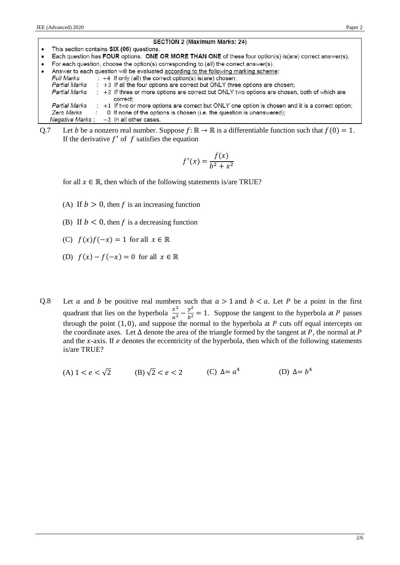| $\bullet$            | This section contains SIX (06) questions.                                                                |  |  |  |  |  |  |
|----------------------|----------------------------------------------------------------------------------------------------------|--|--|--|--|--|--|
| $\bullet$            | Each question has FOUR options. ONE OR MORE THAN ONE of these four option(s) is(are) correct answer(s).  |  |  |  |  |  |  |
| $\bullet$            | For each question, choose the option(s) corresponding to (all) the correct answer(s).                    |  |  |  |  |  |  |
| $\bullet$            | Answer to each question will be evaluated according to the following marking scheme:                     |  |  |  |  |  |  |
| Full Marks           | $\div$ +4 If only (all) the correct option(s) is(are) chosen;                                            |  |  |  |  |  |  |
| Partial Marks        | : +3 If all the four options are correct but ONLY three options are chosen;                              |  |  |  |  |  |  |
| Partial Marks        | : +2 If three or more options are correct but ONLY two options are chosen, both of which are<br>correct: |  |  |  |  |  |  |
| <b>Partial Marks</b> | $\div$ +1 If two or more options are correct but ONLY one option is chosen and it is a correct option;   |  |  |  |  |  |  |
| Zero Marks           | 0 If none of the options is chosen (i.e. the question is unanswered);                                    |  |  |  |  |  |  |
|                      | Negative Marks : $-2$ In all other cases.                                                                |  |  |  |  |  |  |

Q.7 Let *b* be a nonzero real number. Suppose  $f: \mathbb{R} \to \mathbb{R}$  is a differentiable function such that  $f(0) = 1$ . If the derivative  $f'$  of  $f$  satisfies the equation

$$
f'(x) = \frac{f(x)}{b^2 + x^2}
$$

for all  $x \in \mathbb{R}$ , then which of the following statements is/are TRUE?

- (A) If  $b > 0$ , then f is an increasing function
- (B) If  $b < 0$ , then f is a decreasing function
- (C)  $f(x)f(-x) = 1$  for all  $x \in \mathbb{R}$
- (D)  $f(x) f(-x) = 0$  for all  $x \in \mathbb{R}$
- Q.8 Let a and b be positive real numbers such that  $a > 1$  and  $b < a$ . Let P be a point in the first quadrant that lies on the hyperbola  $\frac{x^2}{a^2} - \frac{y^2}{b^2} = 1$ . Suppose the tangent to the hyperbola at P passes through the point  $(1, 0)$ , and suppose the normal to the hyperbola at P cuts off equal intercepts on the coordinate axes. Let  $\Delta$  denote the area of the triangle formed by the tangent at P, the normal at P and the  $x$ -axis. If  $e$  denotes the eccentricity of the hyperbola, then which of the following statements is/are TRUE?
	- (A)  $1 < e < \sqrt{2}$  (B)  $\sqrt{2} < e < 2$ (C)  $\Delta = a^4$ (D)  $\Delta = b^4$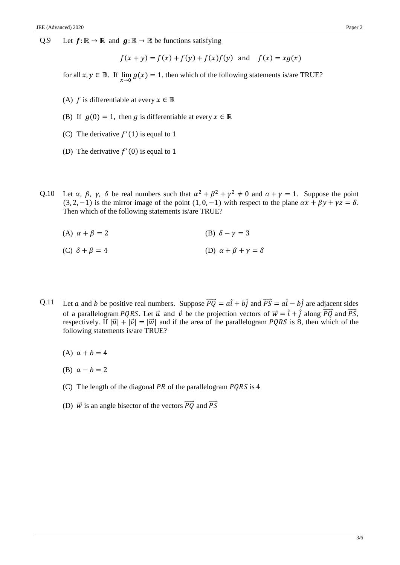Q.9 Let  $f: \mathbb{R} \to \mathbb{R}$  and  $g: \mathbb{R} \to \mathbb{R}$  be functions satisfying

$$
f(x + y) = f(x) + f(y) + f(x)f(y)
$$
 and  $f(x) = xg(x)$ 

for all  $x, y \in \mathbb{R}$ . If  $\lim_{x \to 0} g(x) = 1$ , then which of the following statements is/are TRUE?

- (A) *f* is differentiable at every  $x \in \mathbb{R}$
- (B) If  $g(0) = 1$ , then g is differentiable at every  $x \in \mathbb{R}$
- (C) The derivative  $f'(1)$  is equal to 1
- (D) The derivative  $f'(0)$  is equal to 1
- Q.10 Let  $\alpha$ ,  $\beta$ ,  $\gamma$ ,  $\delta$  be real numbers such that  $\alpha^2 + \beta^2 + \gamma^2 \neq 0$  and  $\alpha + \gamma = 1$ . Suppose the point (3, 2, -1) is the mirror image of the point  $(1, 0, -1)$  with respect to the plane  $\alpha x + \beta y + \gamma z = \delta$ . Then which of the following statements is/are TRUE?

(A) 
$$
\alpha + \beta = 2
$$
 (B)  $\delta - \gamma = 3$ 

(C) 
$$
\delta + \beta = 4
$$
 (D)  $\alpha + \beta + \gamma = \delta$ 

- Q.11 Let *a* and *b* be positive real numbers. Suppose  $\overrightarrow{PQ} = a\hat{i} + b\hat{j}$  and  $\overrightarrow{PS} = a\hat{i} b\hat{j}$  are adjacent sides of a parallelogram *PQRS*. Let  $\vec{u}$  and  $\vec{v}$  be the projection vectors of  $\vec{w} = \hat{i} + \hat{j}$  along  $\vec{PQ}$  and  $\vec{PS}$ , respectively. If  $|\vec{u}| + |\vec{v}| = |\vec{w}|$  and if the area of the parallelogram *PQRS* is 8, then which of the following statements is/are TRUE?
	- (A)  $a + b = 4$
	- (B)  $a b = 2$
	- (C) The length of the diagonal PR of the parallelogram  $PQRS$  is 4
	- (D)  $\vec{w}$  is an angle bisector of the vectors  $\vec{PQ}$  and  $\vec{PS}$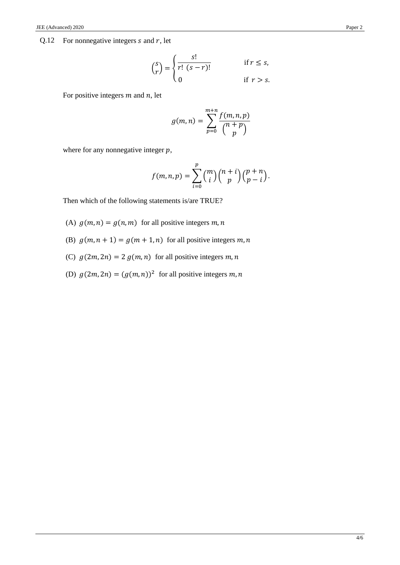## Q.12 For nonnegative integers  $s$  and  $r$ , let

$$
\binom{s}{r} = \begin{cases} \frac{s!}{r! \ (s-r)!} & \text{if } r \le s, \\ 0 & \text{if } r > s. \end{cases}
$$

For positive integers  $m$  and  $n$ , let

$$
g(m,n) = \sum_{p=0}^{m+n} \frac{f(m,n,p)}{\binom{n+p}{p}}
$$

where for any nonnegative integer  $p$ ,

$$
f(m,n,p) = \sum_{i=0}^{p} {m \choose i} {n+i \choose p} {p+n \choose p-i}.
$$

Then which of the following statements is/are TRUE?

(A)  $g(m, n) = g(n, m)$  for all positive integers m, n

- (B)  $g(m, n + 1) = g(m + 1, n)$  for all positive integers m, n
- (C)  $g(2m, 2n) = 2 g(m, n)$  for all positive integers m, n
- (D)  $g(2m, 2n) = (g(m, n))^2$  for all positive integers m, n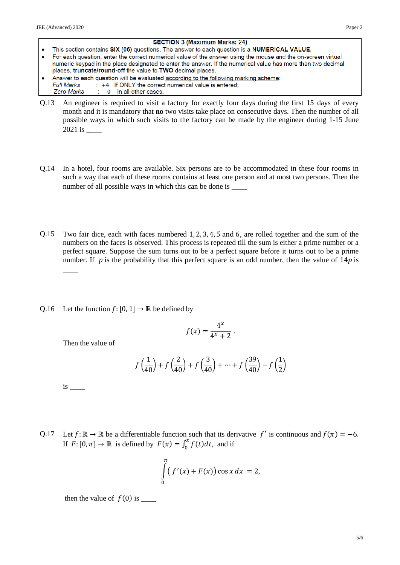#### **SECTION 3 (Maximum Marks: 24)**

- This section contains SIX (06) questions. The answer to each question is a NUMERICAL VALUE. For each question, enter the correct numerical value of the answer using the mouse and the on-screen virtual numeric keypad in the place designated to enter the answer. If the numerical value has more than two decimal
- places, truncate/round-off the value to TWO decimal places. Answer to each question will be evaluated according to the following marking scheme: tered;

| Full Marks |  | $\pm$ +4 $\pm$ If ONLY the correct numerical value is en |
|------------|--|----------------------------------------------------------|
|            |  | Zero Marks : 0 In all other cases.                       |
|            |  |                                                          |

- Q.13 An engineer is required to visit a factory for exactly four days during the first 15 days of every month and it is mandatory that **no** two visits take place on consecutive days. Then the number of all possible ways in which such visits to the factory can be made by the engineer during 1-15 June 2021 is \_\_\_\_\_
- Q.14 In a hotel, four rooms are available. Six persons are to be accommodated in these four rooms in such a way that each of these rooms contains at least one person and at most two persons. Then the number of all possible ways in which this can be done is \_
- Q.15 Two fair dice, each with faces numbered 1, 2, 3, 4, 5 and 6, are rolled together and the sum of the numbers on the faces is observed. This process is repeated till the sum is either a prime number or a perfect square. Suppose the sum turns out to be a perfect square before it turns out to be a prime number. If  $p$  is the probability that this perfect square is an odd number, then the value of  $14p$  is
- Q.16 Let the function  $f: [0, 1] \rightarrow \mathbb{R}$  be defined by

$$
f(x) = \frac{4^x}{4^x + 2}.
$$

Then the value of

$$
f\left(\frac{1}{40}\right) + f\left(\frac{2}{40}\right) + f\left(\frac{3}{40}\right) + \dots + f\left(\frac{39}{40}\right) - f\left(\frac{1}{2}\right)
$$

is \_\_\_\_\_

 $\overline{\phantom{a}}$ 

Q.17 Let  $f: \mathbb{R} \to \mathbb{R}$  be a differentiable function such that its derivative  $f'$  is continuous and  $f(\pi) = -6$ . If  $F: [0, \pi] \to \mathbb{R}$  is defined by  $F(x) = \int_0^x f(t) dt$ , and if

$$
\int_{0}^{\pi} \left( f'(x) + F(x) \right) \cos x \, dx = 2,
$$

then the value of  $f(0)$  is  $\_\_$